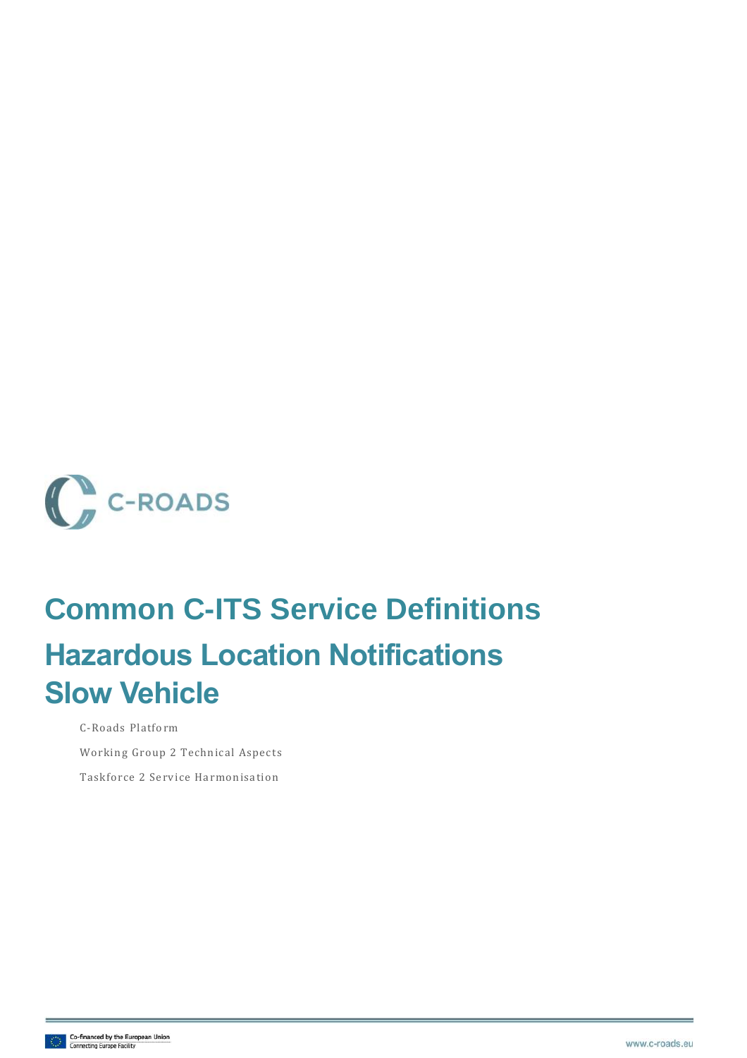

# **Common C-ITS Service Definitions Hazardous Location Notifications Slow Vehicle**

C-Roads Platform Working Group 2 Technical Aspects Taskforce 2 Service Harmonisation

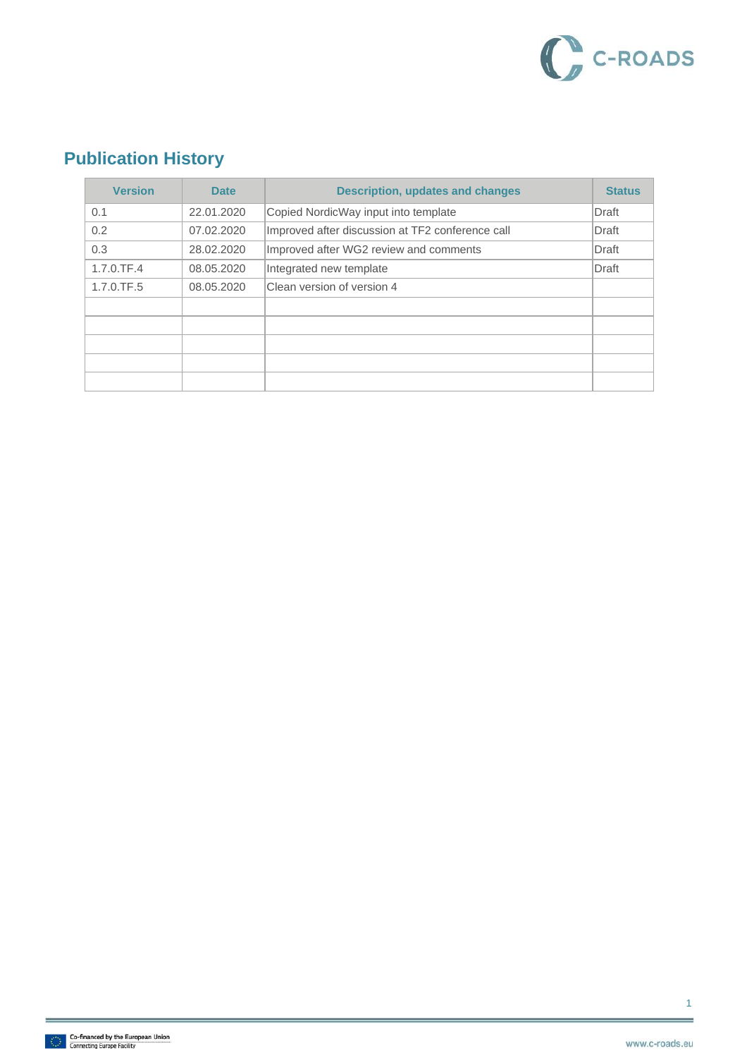

### **Publication History**

| <b>Version</b> | <b>Date</b> | <b>Description, updates and changes</b>          | <b>Status</b> |
|----------------|-------------|--------------------------------------------------|---------------|
| 0.1            | 22.01.2020  | Copied NordicWay input into template             | Draft         |
| 0.2            | 07.02.2020  | Improved after discussion at TF2 conference call | Draft         |
| 0.3            | 28.02.2020  | Improved after WG2 review and comments           | Draft         |
| $1.7.0$ .TF.4  | 08.05.2020  | Integrated new template                          | Draft         |
| 1.7.0.TF.5     | 08.05.2020  | Clean version of version 4                       |               |
|                |             |                                                  |               |
|                |             |                                                  |               |
|                |             |                                                  |               |
|                |             |                                                  |               |
|                |             |                                                  |               |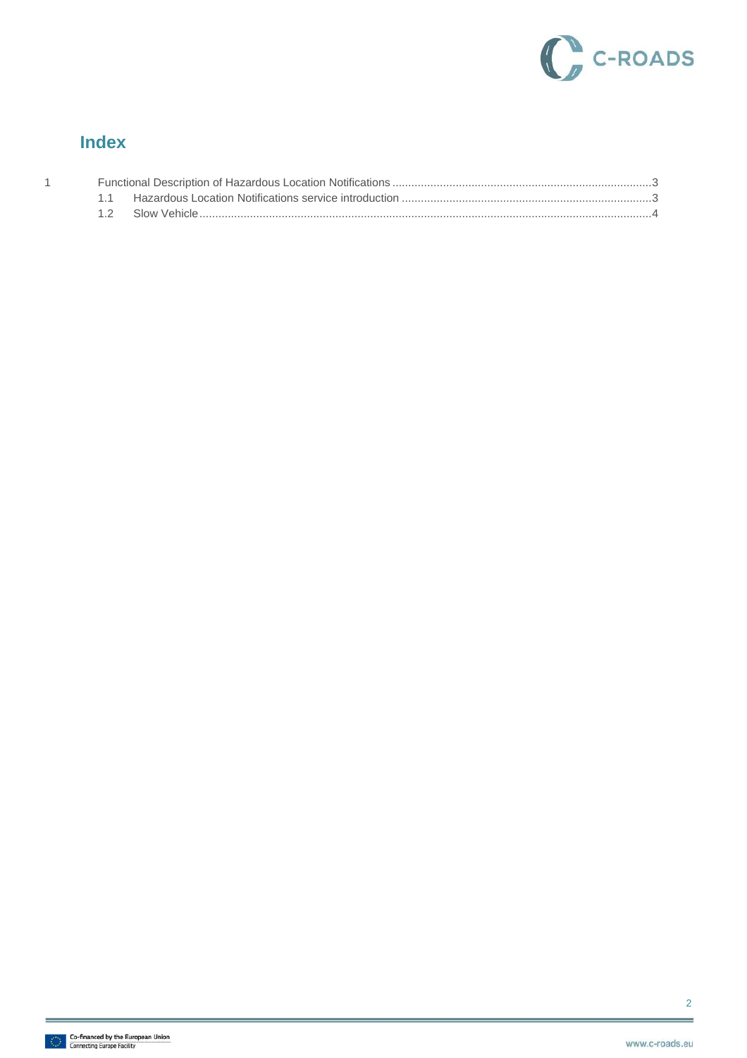

### **Index**

 $\overline{1}$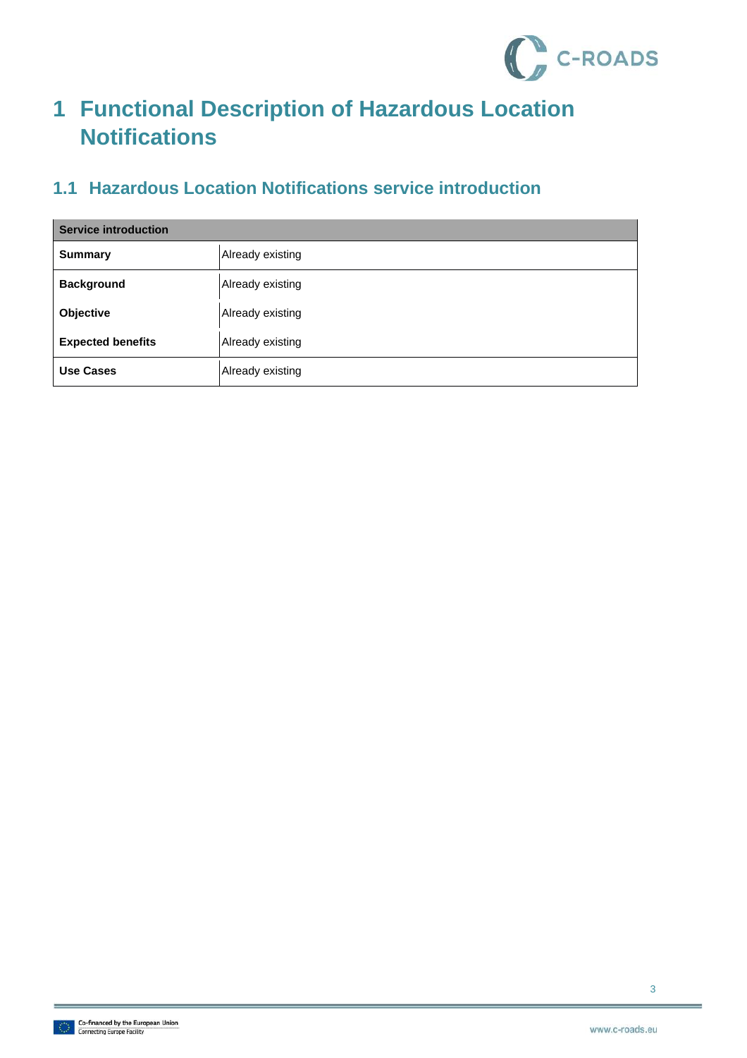

## <span id="page-3-0"></span>**1 Functional Description of Hazardous Location Notifications**

### <span id="page-3-1"></span>**1.1 Hazardous Location Notifications service introduction**

| <b>Service introduction</b> |                  |  |
|-----------------------------|------------------|--|
| <b>Summary</b>              | Already existing |  |
| <b>Background</b>           | Already existing |  |
| Objective                   | Already existing |  |
| <b>Expected benefits</b>    | Already existing |  |
| Use Cases                   | Already existing |  |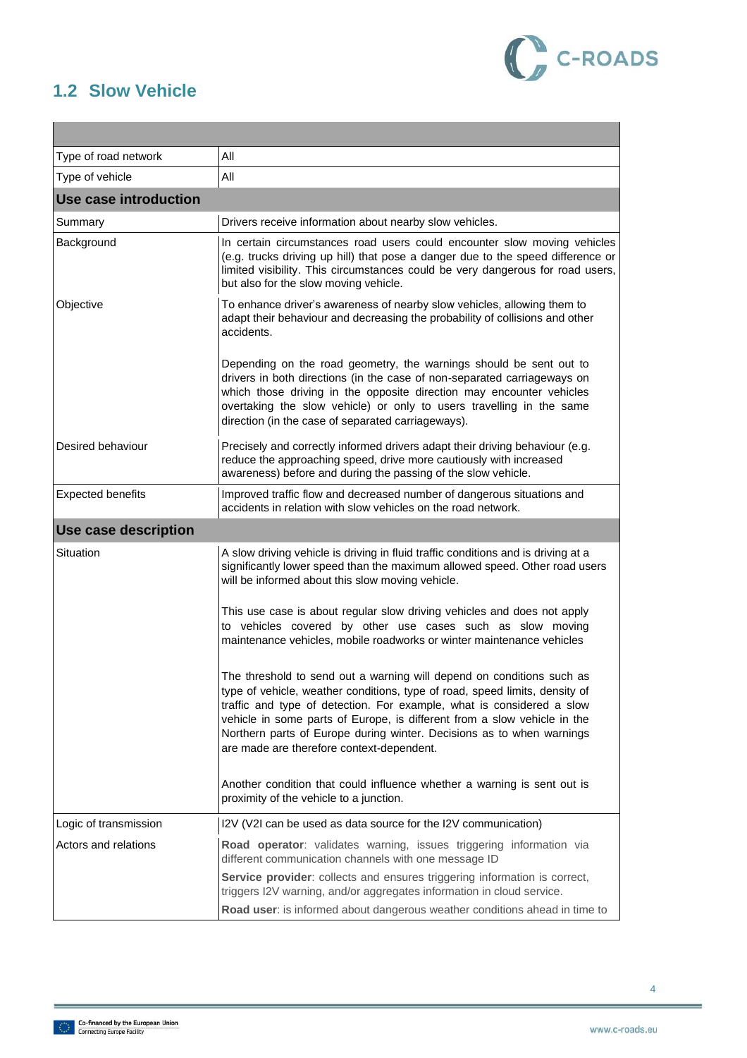

### <span id="page-4-0"></span>**1.2 Slow Vehicle**

| Type of road network     | All                                                                                                                                                                                                                                                                                                                                                                                                                             |
|--------------------------|---------------------------------------------------------------------------------------------------------------------------------------------------------------------------------------------------------------------------------------------------------------------------------------------------------------------------------------------------------------------------------------------------------------------------------|
| Type of vehicle          | All                                                                                                                                                                                                                                                                                                                                                                                                                             |
| Use case introduction    |                                                                                                                                                                                                                                                                                                                                                                                                                                 |
| Summary                  | Drivers receive information about nearby slow vehicles.                                                                                                                                                                                                                                                                                                                                                                         |
| Background               | In certain circumstances road users could encounter slow moving vehicles<br>(e.g. trucks driving up hill) that pose a danger due to the speed difference or<br>limited visibility. This circumstances could be very dangerous for road users,<br>but also for the slow moving vehicle.                                                                                                                                          |
| Objective                | To enhance driver's awareness of nearby slow vehicles, allowing them to<br>adapt their behaviour and decreasing the probability of collisions and other<br>accidents.<br>Depending on the road geometry, the warnings should be sent out to                                                                                                                                                                                     |
|                          | drivers in both directions (in the case of non-separated carriageways on<br>which those driving in the opposite direction may encounter vehicles<br>overtaking the slow vehicle) or only to users travelling in the same<br>direction (in the case of separated carriageways).                                                                                                                                                  |
| Desired behaviour        | Precisely and correctly informed drivers adapt their driving behaviour (e.g.<br>reduce the approaching speed, drive more cautiously with increased<br>awareness) before and during the passing of the slow vehicle.                                                                                                                                                                                                             |
| <b>Expected benefits</b> | Improved traffic flow and decreased number of dangerous situations and<br>accidents in relation with slow vehicles on the road network.                                                                                                                                                                                                                                                                                         |
| Use case description     |                                                                                                                                                                                                                                                                                                                                                                                                                                 |
| Situation                | A slow driving vehicle is driving in fluid traffic conditions and is driving at a<br>significantly lower speed than the maximum allowed speed. Other road users<br>will be informed about this slow moving vehicle.                                                                                                                                                                                                             |
|                          | This use case is about regular slow driving vehicles and does not apply<br>to vehicles covered by other use cases such as slow moving<br>maintenance vehicles, mobile roadworks or winter maintenance vehicles                                                                                                                                                                                                                  |
|                          | The threshold to send out a warning will depend on conditions such as<br>type of vehicle, weather conditions, type of road, speed limits, density of<br>traffic and type of detection. For example, what is considered a slow<br>vehicle in some parts of Europe, is different from a slow vehicle in the<br>Northern parts of Europe during winter. Decisions as to when warnings<br>are made are therefore context-dependent. |
|                          | Another condition that could influence whether a warning is sent out is<br>proximity of the vehicle to a junction.                                                                                                                                                                                                                                                                                                              |
| Logic of transmission    | I2V (V2I can be used as data source for the I2V communication)                                                                                                                                                                                                                                                                                                                                                                  |
| Actors and relations     | Road operator: validates warning, issues triggering information via<br>different communication channels with one message ID                                                                                                                                                                                                                                                                                                     |
|                          | Service provider: collects and ensures triggering information is correct,<br>triggers I2V warning, and/or aggregates information in cloud service.<br>Road user: is informed about dangerous weather conditions ahead in time to                                                                                                                                                                                                |

4